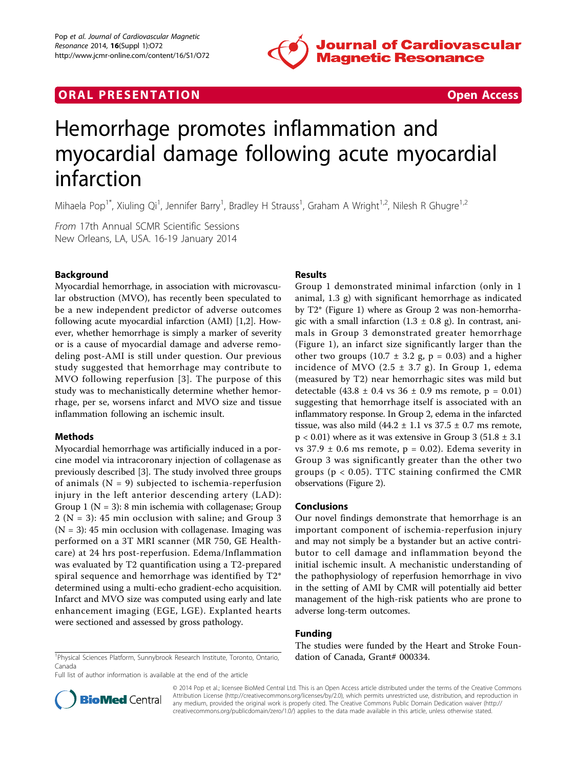

## **ORAL PRESENTATION CONSUMING ACCESS**



# Hemorrhage promotes inflammation and myocardial damage following acute myocardial infarction

Mihaela Pop<sup>1\*</sup>, Xiuling Qi<sup>1</sup>, Jennifer Barry<sup>1</sup>, Bradley H Strauss<sup>1</sup>, Graham A Wright<sup>1,2</sup>, Nilesh R Ghugre<sup>1,2</sup>

From 17th Annual SCMR Scientific Sessions New Orleans, LA, USA. 16-19 January 2014

## Background

Myocardial hemorrhage, in association with microvascular obstruction (MVO), has recently been speculated to be a new independent predictor of adverse outcomes following acute myocardial infarction (AMI) [[1,2\]](#page-1-0). However, whether hemorrhage is simply a marker of severity or is a cause of myocardial damage and adverse remodeling post-AMI is still under question. Our previous study suggested that hemorrhage may contribute to MVO following reperfusion [[3\]](#page-1-0). The purpose of this study was to mechanistically determine whether hemorrhage, per se, worsens infarct and MVO size and tissue inflammation following an ischemic insult.

## Methods

Myocardial hemorrhage was artificially induced in a porcine model via intracoronary injection of collagenase as previously described [[3](#page-1-0)]. The study involved three groups of animals  $(N = 9)$  subjected to ischemia-reperfusion injury in the left anterior descending artery (LAD): Group 1 ( $N = 3$ ): 8 min ischemia with collagenase; Group 2 (N = 3): 45 min occlusion with saline; and Group 3  $(N = 3)$ : 45 min occlusion with collagenase. Imaging was performed on a 3T MRI scanner (MR 750, GE Healthcare) at 24 hrs post-reperfusion. Edema/Inflammation was evaluated by T2 quantification using a T2-prepared spiral sequence and hemorrhage was identified by T2\* determined using a multi-echo gradient-echo acquisition. Infarct and MVO size was computed using early and late enhancement imaging (EGE, LGE). Explanted hearts were sectioned and assessed by gross pathology.

## Results

Group 1 demonstrated minimal infarction (only in 1 animal, 1.3 g) with significant hemorrhage as indicated by T2\* (Figure [1](#page-1-0)) where as Group 2 was non-hemorrhagic with a small infarction  $(1.3 \pm 0.8 \text{ g})$ . In contrast, animals in Group 3 demonstrated greater hemorrhage (Figure [1](#page-1-0)), an infarct size significantly larger than the other two groups (10.7  $\pm$  3.2 g, p = 0.03) and a higher incidence of MVO  $(2.5 \pm 3.7 \text{ g})$ . In Group 1, edema (measured by T2) near hemorrhagic sites was mild but detectable  $(43.8 \pm 0.4 \text{ vs } 36 \pm 0.9 \text{ ms remote}, p = 0.01)$ suggesting that hemorrhage itself is associated with an inflammatory response. In Group 2, edema in the infarcted tissue, was also mild  $(44.2 \pm 1.1 \text{ vs } 37.5 \pm 0.7 \text{ ms remote})$  $p < 0.01$ ) where as it was extensive in Group 3 (51.8  $\pm$  3.1) vs  $37.9 \pm 0.6$  ms remote, p = 0.02). Edema severity in Group 3 was significantly greater than the other two groups ( $p < 0.05$ ). TTC staining confirmed the CMR observations (Figure [2\)](#page-1-0).

## Conclusions

Our novel findings demonstrate that hemorrhage is an important component of ischemia-reperfusion injury and may not simply be a bystander but an active contributor to cell damage and inflammation beyond the initial ischemic insult. A mechanistic understanding of the pathophysiology of reperfusion hemorrhage in vivo in the setting of AMI by CMR will potentially aid better management of the high-risk patients who are prone to adverse long-term outcomes.

## Funding

The studies were funded by the Heart and Stroke Foun-

Full list of author information is available at the end of the article



© 2014 Pop et al.; licensee BioMed Central Ltd. This is an Open Access article distributed under the terms of the Creative Commons Attribution License [\(http://creativecommons.org/licenses/by/2.0](http://creativecommons.org/licenses/by/2.0)), which permits unrestricted use, distribution, and reproduction in any medium, provided the original work is properly cited. The Creative Commons Public Domain Dedication waiver [\(http://](http://creativecommons.org/publicdomain/zero/1.0/) [creativecommons.org/publicdomain/zero/1.0/](http://creativecommons.org/publicdomain/zero/1.0/)) applies to the data made available in this article, unless otherwise stated.

<sup>&</sup>lt;sup>1</sup>Physical Sciences Platform, Sunnybrook Research Institute, Toronto, Ontario, **dation of Canada, Grant# 000334**. Canada